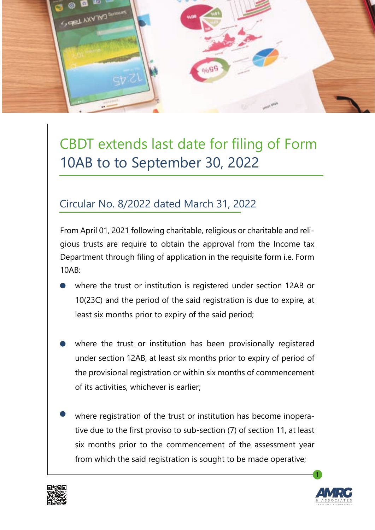

## CBDT extends last date for filing of Form 10AB to to September 30, 2022

## Circular No. 8/2022 dated March 31, 2022

From April 01, 2021 following charitable, religious or charitable and religious trusts are require to obtain the approval from the Income tax Department through filing of application in the requisite form i.e. Form 10AB:

- where the trust or institution is registered under section 12AB or 10(23C) and the period of the said registration is due to expire, at least six months prior to expiry of the said period;
- where the trust or institution has been provisionally registered under section 12AB, at least six months prior to expiry of period of the provisional registration or within six months of commencement of its activities, whichever is earlier;
	- where registration of the trust or institution has become inoperative due to the first proviso to sub-section (7) of section 11, at least six months prior to the commencement of the assessment year from which the said registration is sought to be made operative;





1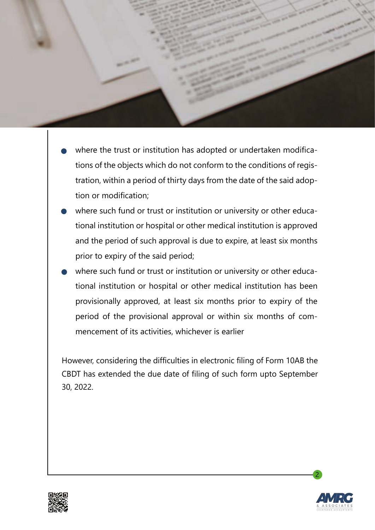

- where the trust or institution has adopted or undertaken modifications of the objects which do not conform to the conditions of registration, within a period of thirty days from the date of the said adoption or modification;
- where such fund or trust or institution or university or other educational institution or hospital or other medical institution is approved and the period of such approval is due to expire, at least six months prior to expiry of the said period;
- where such fund or trust or institution or university or other educational institution or hospital or other medical institution has been provisionally approved, at least six months prior to expiry of the period of the provisional approval or within six months of commencement of its activities, whichever is earlier

However, considering the difficulties in electronic filing of Form 10AB the CBDT has extended the due date of filing of such form upto September 30, 2022.





2